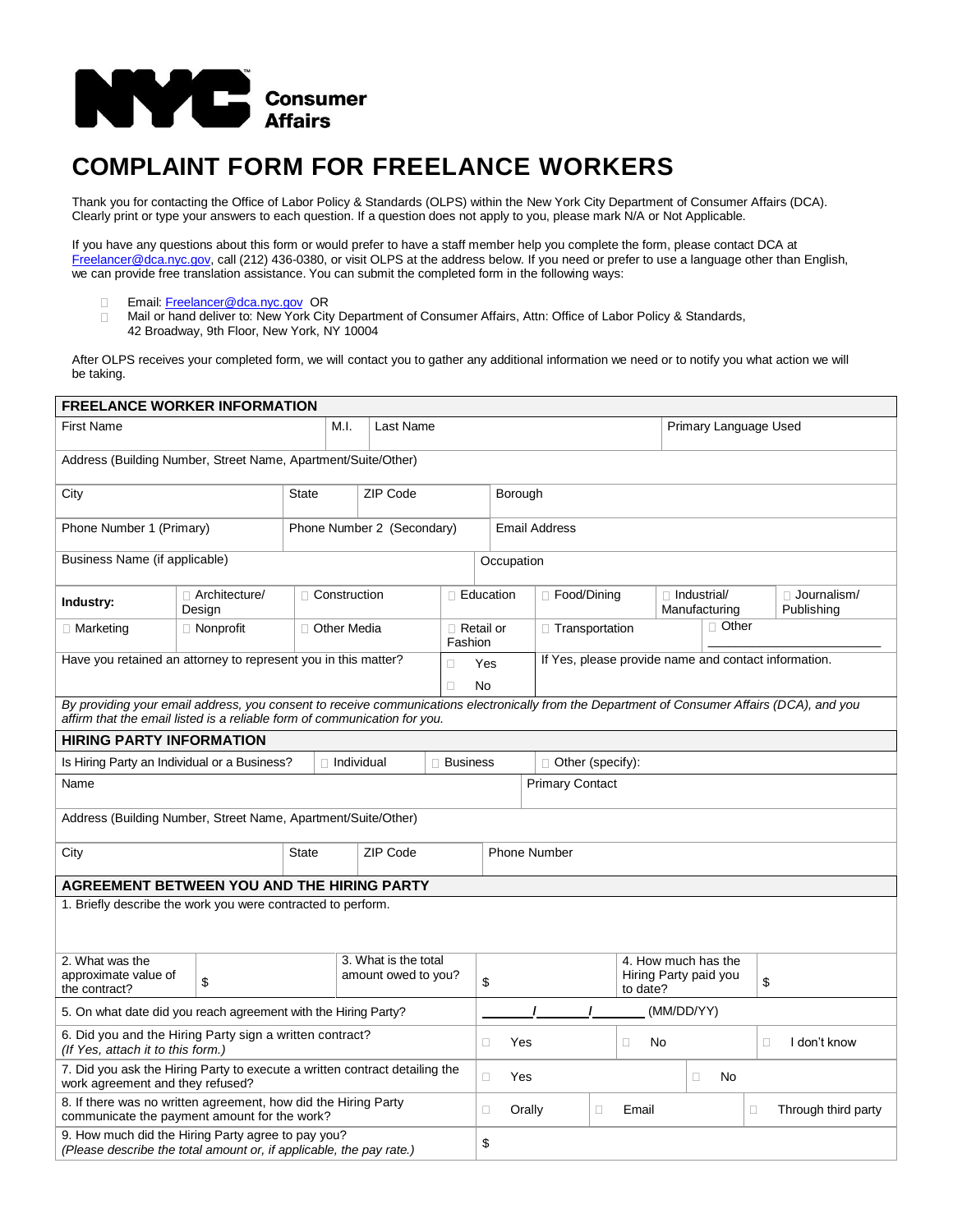

## **COMPLAINT FORM FOR FREELANCE WORKERS**

Thank you for contacting the Office of Labor Policy & Standards (OLPS) within the New York City Department of Consumer Affairs (DCA). Clearly print or type your answers to each question. If a question does not apply to you, please mark N/A or Not Applicable.

If you have any questions about this form or would prefer to have a staff member help you complete the form, please contact DCA at [Freelancer@dca.nyc.gov,](mailto:Freelancer@dca.nyc.gov) call (212) 436-0380, or visit OLPS at the address below. If you need or prefer to use a language other than English, we can provide free translation assistance. You can submit the completed form in the following ways:

- □ Email[: Freelancer@dca.nyc.gov](mailto:Freelancer@dca.nyc.gov) OR<br>□ Mail or hand deliver to: New York City
- Mail or hand deliver to: New York City Department of Consumer Affairs, Attn: Office of Labor Policy & Standards,
- 42 Broadway, 9th Floor, New York, NY 10004

After OLPS receives your completed form, we will contact you to gather any additional information we need or to notify you what action we will be taking.

| <b>FREELANCE WORKER INFORMATION</b>                                                                                                                                                                                       |                                                                |                            |                                             |          |                        |                               |                                                      |                         |                  |                                                          |                       |                                     |  |                           |  |
|---------------------------------------------------------------------------------------------------------------------------------------------------------------------------------------------------------------------------|----------------------------------------------------------------|----------------------------|---------------------------------------------|----------|------------------------|-------------------------------|------------------------------------------------------|-------------------------|------------------|----------------------------------------------------------|-----------------------|-------------------------------------|--|---------------------------|--|
| First Name                                                                                                                                                                                                                |                                                                |                            | M.I.<br>Last Name                           |          |                        |                               |                                                      |                         |                  |                                                          | Primary Language Used |                                     |  |                           |  |
| Address (Building Number, Street Name, Apartment/Suite/Other)                                                                                                                                                             |                                                                |                            |                                             |          |                        |                               |                                                      |                         |                  |                                                          |                       |                                     |  |                           |  |
| City                                                                                                                                                                                                                      |                                                                | <b>State</b>               |                                             | ZIP Code |                        | Borough                       |                                                      |                         |                  |                                                          |                       |                                     |  |                           |  |
| Phone Number 1 (Primary)                                                                                                                                                                                                  |                                                                | Phone Number 2 (Secondary) |                                             |          |                        |                               | <b>Email Address</b>                                 |                         |                  |                                                          |                       |                                     |  |                           |  |
| Business Name (if applicable)                                                                                                                                                                                             |                                                                |                            |                                             |          |                        |                               | Occupation                                           |                         |                  |                                                          |                       |                                     |  |                           |  |
| Industry:                                                                                                                                                                                                                 | Architecture/<br>Design                                        |                            | □ Construction                              |          |                        | □ Education                   |                                                      |                         | □ Food/Dining    |                                                          |                       | $\Box$ Industrial/<br>Manufacturing |  | Journalism/<br>Publishing |  |
| □ Marketing                                                                                                                                                                                                               | $\Box$ Nonprofit                                               |                            | □ Other Media<br>Fashion                    |          |                        |                               | $\Box$ Retail or                                     |                         | □ Transportation |                                                          | $\Box$ Other          |                                     |  |                           |  |
|                                                                                                                                                                                                                           | Have you retained an attorney to represent you in this matter? |                            |                                             | $\Box$   | Yes                    |                               | If Yes, please provide name and contact information. |                         |                  |                                                          |                       |                                     |  |                           |  |
| $\Box$                                                                                                                                                                                                                    |                                                                |                            |                                             |          |                        |                               | <b>No</b>                                            |                         |                  |                                                          |                       |                                     |  |                           |  |
| By providing your email address, you consent to receive communications electronically from the Department of Consumer Affairs (DCA), and you<br>affirm that the email listed is a reliable form of communication for you. |                                                                |                            |                                             |          |                        |                               |                                                      |                         |                  |                                                          |                       |                                     |  |                           |  |
| <b>HIRING PARTY INFORMATION</b>                                                                                                                                                                                           |                                                                |                            |                                             |          |                        |                               |                                                      |                         |                  |                                                          |                       |                                     |  |                           |  |
| Is Hiring Party an Individual or a Business?                                                                                                                                                                              |                                                                |                            | $\Box$ Individual                           |          |                        | $\Box$ Business               |                                                      | $\Box$ Other (specify): |                  |                                                          |                       |                                     |  |                           |  |
| Name                                                                                                                                                                                                                      |                                                                |                            |                                             |          | <b>Primary Contact</b> |                               |                                                      |                         |                  |                                                          |                       |                                     |  |                           |  |
| Address (Building Number, Street Name, Apartment/Suite/Other)                                                                                                                                                             |                                                                |                            |                                             |          |                        |                               |                                                      |                         |                  |                                                          |                       |                                     |  |                           |  |
| City                                                                                                                                                                                                                      |                                                                | <b>State</b>               |                                             | ZIP Code |                        |                               | <b>Phone Number</b>                                  |                         |                  |                                                          |                       |                                     |  |                           |  |
| <b>AGREEMENT BETWEEN YOU AND THE HIRING PARTY</b>                                                                                                                                                                         |                                                                |                            |                                             |          |                        |                               |                                                      |                         |                  |                                                          |                       |                                     |  |                           |  |
| 1. Briefly describe the work you were contracted to perform.                                                                                                                                                              |                                                                |                            |                                             |          |                        |                               |                                                      |                         |                  |                                                          |                       |                                     |  |                           |  |
|                                                                                                                                                                                                                           |                                                                |                            |                                             |          |                        |                               |                                                      |                         |                  |                                                          |                       |                                     |  |                           |  |
| 2. What was the<br>approximate value of<br>\$<br>the contract?                                                                                                                                                            |                                                                |                            | 3. What is the total<br>amount owed to you? |          |                        | \$                            |                                                      |                         |                  | 4. How much has the<br>Hiring Party paid you<br>to date? |                       | \$                                  |  |                           |  |
| 5. On what date did you reach agreement with the Hiring Party?                                                                                                                                                            |                                                                |                            |                                             |          |                        | (MM/DD/YY)                    |                                                      |                         |                  |                                                          |                       |                                     |  |                           |  |
| 6. Did you and the Hiring Party sign a written contract?<br>(If Yes, attach it to this form.)                                                                                                                             |                                                                |                            |                                             |          |                        | Yes<br>$\Box$<br>Ω<br>No      |                                                      |                         |                  |                                                          | $\Box$                | I don't know                        |  |                           |  |
| 7. Did you ask the Hiring Party to execute a written contract detailing the<br>work agreement and they refused?                                                                                                           |                                                                |                            |                                             |          |                        | $\Box$<br>Yes<br>No<br>$\Box$ |                                                      |                         |                  |                                                          |                       |                                     |  |                           |  |
| 8. If there was no written agreement, how did the Hiring Party<br>communicate the payment amount for the work?                                                                                                            |                                                                |                            |                                             |          |                        | $\Box$                        | Orally<br>$\Box$<br>Email<br>$\Box$                  |                         |                  |                                                          | Through third party   |                                     |  |                           |  |
| 9. How much did the Hiring Party agree to pay you?<br>(Please describe the total amount or, if applicable, the pay rate.)                                                                                                 |                                                                |                            |                                             |          |                        | \$                            |                                                      |                         |                  |                                                          |                       |                                     |  |                           |  |